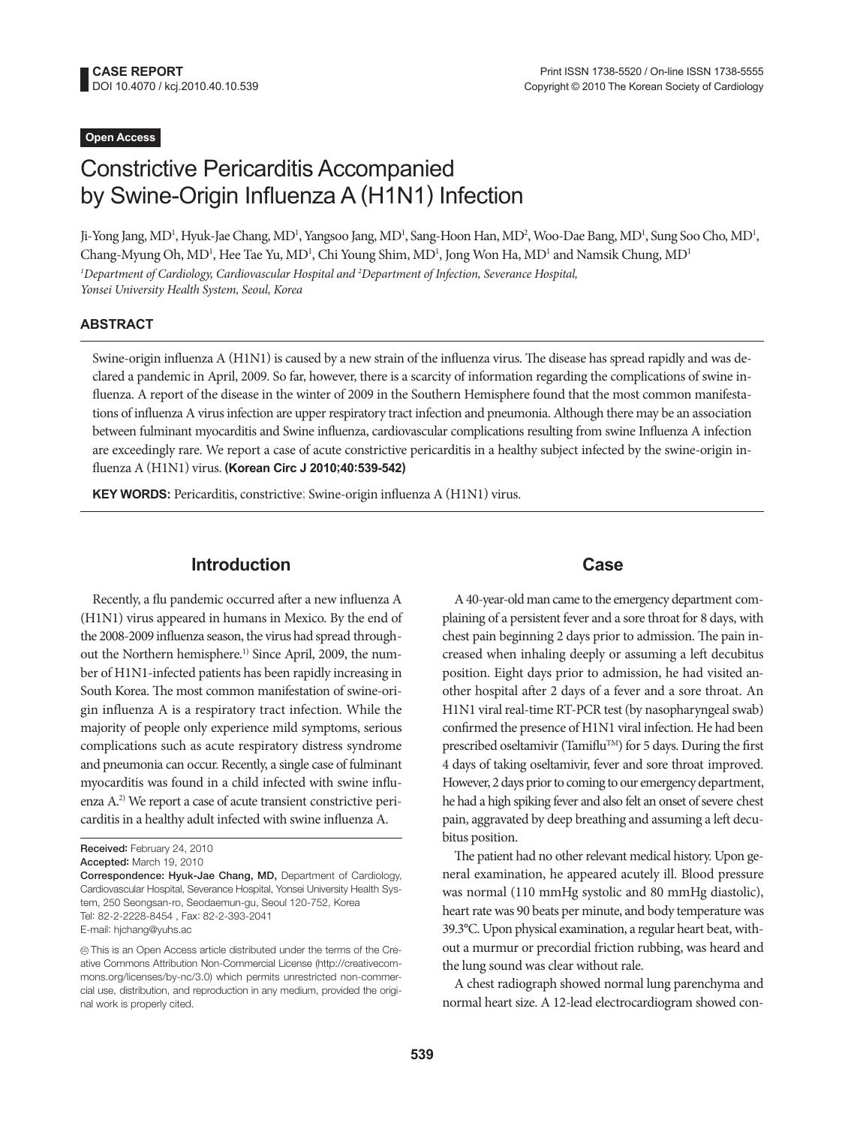## **Open Access**

# Constrictive Pericarditis Accompanied by Swine-Origin Influenza A (H1N1) Infection

Ji-Yong Jang, MD<sup>1</sup>, Hyuk-Jae Chang, MD<sup>1</sup>, Yangsoo Jang, MD<sup>1</sup>, Sang-Hoon Han, MD<sup>2</sup>, Woo-Dae Bang, MD<sup>1</sup>, Sung Soo Cho, MD<sup>1</sup>, Chang-Myung Oh, MD<sup>1</sup>, Hee Tae Yu, MD<sup>1</sup>, Chi Young Shim, MD<sup>1</sup>, Jong Won Ha, MD<sup>1</sup> and Namsik Chung, MD<sup>1</sup> *1 Department of Cardiology, Cardiovascular Hospital and 2 Department of Infection, Severance Hospital, Yonsei University Health System, Seoul, Korea*

#### **ABSTRACT**

Swine-origin influenza A (H1N1) is caused by a new strain of the influenza virus. The disease has spread rapidly and was declared a pandemic in April, 2009. So far, however, there is a scarcity of information regarding the complications of swine influenza. A report of the disease in the winter of 2009 in the Southern Hemisphere found that the most common manifestations of influenza A virus infection are upper respiratory tract infection and pneumonia. Although there may be an association between fulminant myocarditis and Swine influenza, cardiovascular complications resulting from swine Influenza A infection are exceedingly rare. We report a case of acute constrictive pericarditis in a healthy subject infected by the swine-origin influenza A (H1N1) virus. **(Korean Circ J 2010;40:539-542)**

**KEY WORDS:** Pericarditis, constrictive; Swine-origin influenza A (H1N1) virus.

## **Introduction**

Recently, a flu pandemic occurred after a new influenza A (H1N1) virus appeared in humans in Mexico. By the end of the 2008-2009 influenza season, the virus had spread throughout the Northern hemisphere.<sup>1)</sup> Since April, 2009, the number of H1N1-infected patients has been rapidly increasing in South Korea. The most common manifestation of swine-origin influenza A is a respiratory tract infection. While the majority of people only experience mild symptoms, serious complications such as acute respiratory distress syndrome and pneumonia can occur. Recently, a single case of fulminant myocarditis was found in a child infected with swine influenza A.2) We report a case of acute transient constrictive pericarditis in a healthy adult infected with swine influenza A.

### **Case**

A 40-year-old man came to the emergency department complaining of a persistent fever and a sore throat for 8 days, with chest pain beginning 2 days prior to admission. The pain increased when inhaling deeply or assuming a left decubitus position. Eight days prior to admission, he had visited another hospital after 2 days of a fever and a sore throat. An H1N1 viral real-time RT-PCR test (by nasopharyngeal swab) confirmed the presence of H1N1 viral infection. He had been prescribed oseltamivir (Tamiflu<sup>TM</sup>) for 5 days. During the first 4 days of taking oseltamivir, fever and sore throat improved. However, 2 days prior to coming to our emergency department, he had a high spiking fever and also felt an onset of severe chest pain, aggravated by deep breathing and assuming a left decubitus position.

The patient had no other relevant medical history. Upon general examination, he appeared acutely ill. Blood pressure was normal (110 mmHg systolic and 80 mmHg diastolic), heart rate was 90 beats per minute, and body temperature was 39.3°C. Upon physical examination, a regular heart beat, without a murmur or precordial friction rubbing, was heard and the lung sound was clear without rale.

A chest radiograph showed normal lung parenchyma and normal heart size. A 12-lead electrocardiogram showed con-

Received: February 24, 2010

Accepted: March 19, 2010

Correspondence: Hyuk-Jae Chang, MD, Department of Cardiology, Cardiovascular Hospital, Severance Hospital, Yonsei University Health System, 250 Seongsan-ro, Seodaemun-gu, Seoul 120-752, Korea Tel: 82-2-2228-8454 , Fax: 82-2-393-2041 E-mail: hjchang@yuhs.ac

cc This is an Open Access article distributed under the terms of the Creative Commons Attribution Non-Commercial License (http://creativecommons.org/licenses/by-nc/3.0) which permits unrestricted non-commercial use, distribution, and reproduction in any medium, provided the original work is properly cited.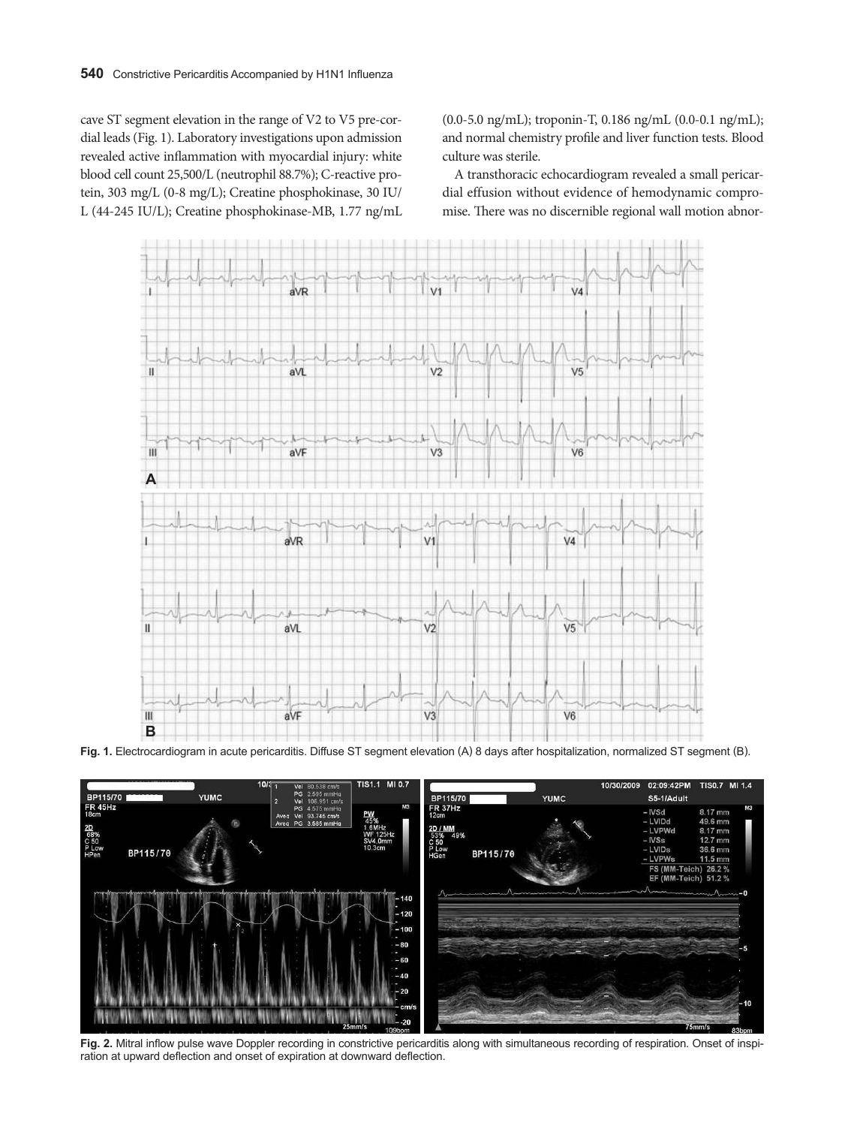cave ST segment elevation in the range of V2 to V5 pre-cordial leads (Fig. 1). Laboratory investigations upon admission revealed active inflammation with myocardial injury: white blood cell count 25,500/L (neutrophil 88.7%); C-reactive protein, 303 mg/L (0-8 mg/L); Creatine phosphokinase, 30 IU/ L (44-245 IU/L); Creatine phosphokinase-MB, 1.77 ng/mL (0.0-5.0 ng/mL); troponin-T, 0.186 ng/mL (0.0-0.1 ng/mL); and normal chemistry profile and liver function tests. Blood culture was sterile.

A transthoracic echocardiogram revealed a small pericardial effusion without evidence of hemodynamic compromise. There was no discernible regional wall motion abnor-



**Fig. 1.** Electrocardiogram in acute pericarditis. Diffuse ST segment elevation (A) 8 days after hospitalization, normalized ST segment (B).



**Fig. 2.** Mitral inflow pulse wave Doppler recording in constrictive pericarditis along with simultaneous recording of respiration. Onset of inspiration at upward deflection and onset of expiration at downward deflection.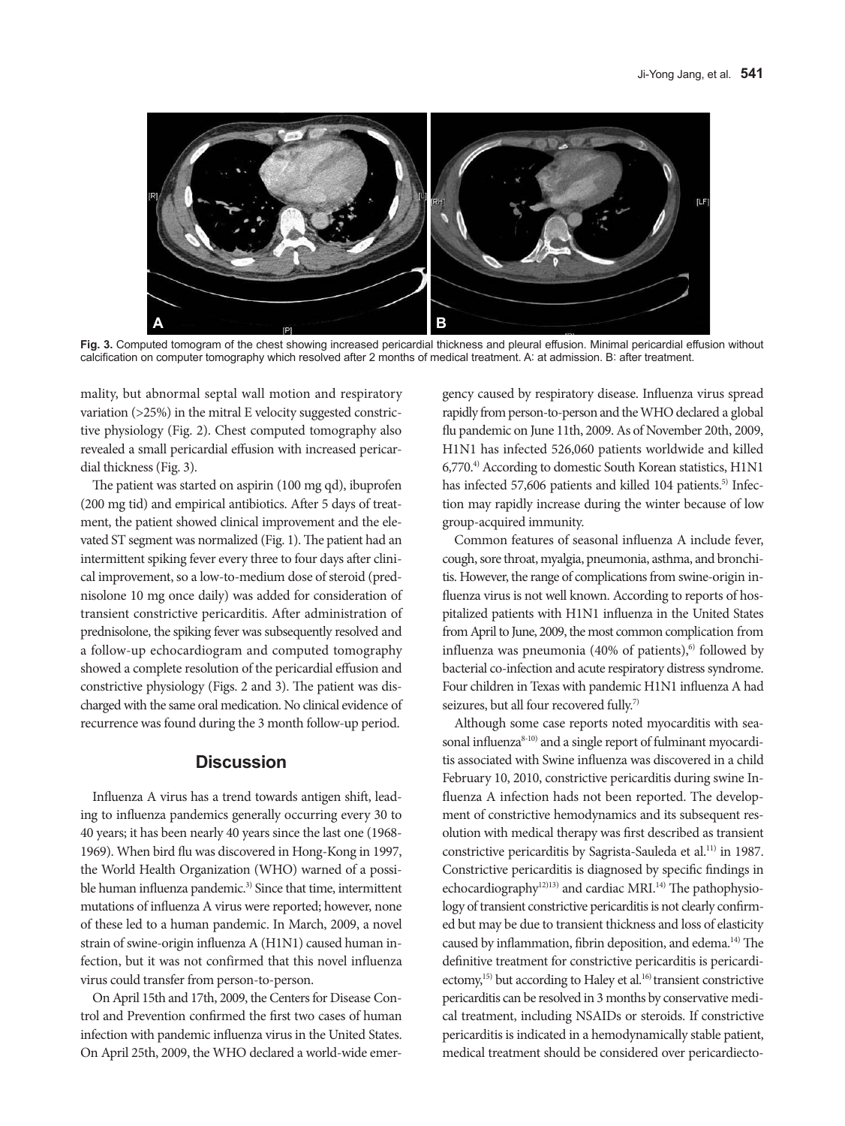

**Fig. 3.** Computed tomogram of the chest showing increased pericardial thickness and pleural effusion. Minimal pericardial effusion without calcification on computer tomography which resolved after 2 months of medical treatment. A: at admission. B: after treatment.

mality, but abnormal septal wall motion and respiratory variation (>25%) in the mitral E velocity suggested constrictive physiology (Fig. 2). Chest computed tomography also revealed a small pericardial effusion with increased pericardial thickness (Fig. 3).

The patient was started on aspirin (100 mg qd), ibuprofen (200 mg tid) and empirical antibiotics. After 5 days of treatment, the patient showed clinical improvement and the elevated ST segment was normalized (Fig. 1). The patient had an intermittent spiking fever every three to four days after clinical improvement, so a low-to-medium dose of steroid (prednisolone 10 mg once daily) was added for consideration of transient constrictive pericarditis. After administration of prednisolone, the spiking fever was subsequently resolved and a follow-up echocardiogram and computed tomography showed a complete resolution of the pericardial effusion and constrictive physiology (Figs. 2 and 3). The patient was discharged with the same oral medication. No clinical evidence of recurrence was found during the 3 month follow-up period.

# **Discussion**

Influenza A virus has a trend towards antigen shift, leading to influenza pandemics generally occurring every 30 to 40 years; it has been nearly 40 years since the last one (1968- 1969). When bird flu was discovered in Hong-Kong in 1997, the World Health Organization (WHO) warned of a possible human influenza pandemic.<sup>3)</sup> Since that time, intermittent mutations of influenza A virus were reported; however, none of these led to a human pandemic. In March, 2009, a novel strain of swine-origin influenza A (H1N1) caused human infection, but it was not confirmed that this novel influenza virus could transfer from person-to-person.

On April 15th and 17th, 2009, the Centers for Disease Control and Prevention confirmed the first two cases of human infection with pandemic influenza virus in the United States. On April 25th, 2009, the WHO declared a world-wide emergency caused by respiratory disease. Influenza virus spread rapidly from person-to-person and the WHO declared a global flu pandemic on June 11th, 2009. As of November 20th, 2009, H1N1 has infected 526,060 patients worldwide and killed 6,770.4) According to domestic South Korean statistics, H1N1 has infected 57,606 patients and killed 104 patients.<sup>5)</sup> Infection may rapidly increase during the winter because of low group-acquired immunity.

Common features of seasonal influenza A include fever, cough, sore throat, myalgia, pneumonia, asthma, and bronchitis. However, the range of complications from swine-origin influenza virus is not well known. According to reports of hospitalized patients with H1N1 influenza in the United States from April to June, 2009, the most common complication from influenza was pneumonia (40% of patients), $6$  followed by bacterial co-infection and acute respiratory distress syndrome. Four children in Texas with pandemic H1N1 influenza A had seizures, but all four recovered fully.<sup>7)</sup>

Although some case reports noted myocarditis with seasonal influenza<sup>8-10)</sup> and a single report of fulminant myocarditis associated with Swine influenza was discovered in a child February 10, 2010, constrictive pericarditis during swine Influenza A infection hads not been reported. The development of constrictive hemodynamics and its subsequent resolution with medical therapy was first described as transient constrictive pericarditis by Sagrista-Sauleda et al.<sup>11)</sup> in 1987. Constrictive pericarditis is diagnosed by specific findings in echocardiography<sup>12)13)</sup> and cardiac MRI.<sup>14)</sup> The pathophysiology of transient constrictive pericarditis is not clearly confirmed but may be due to transient thickness and loss of elasticity caused by inflammation, fibrin deposition, and edema.14) The definitive treatment for constrictive pericarditis is pericardiectomy,<sup>15)</sup> but according to Haley et al.<sup>16)</sup> transient constrictive pericarditis can be resolved in 3 months by conservative medical treatment, including NSAIDs or steroids. If constrictive pericarditis is indicated in a hemodynamically stable patient, medical treatment should be considered over pericardiecto